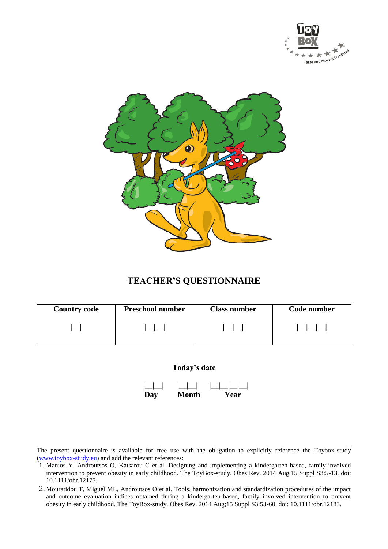



## **TEACHER'S QUESTIONNAIRE**

| <b>Country code</b> | <b>Preschool number</b> | <b>Class number</b> | Code number |
|---------------------|-------------------------|---------------------|-------------|
|                     |                         |                     |             |

### **Today's date**

 |\_\_|\_\_| |\_\_|\_\_| |\_\_|\_\_|\_\_|\_\_|  **Day Month Year** 

<sup>1.</sup> Manios Y, Androutsos O, Katsarou C et al. Designing and implementing a kindergarten-based, family-involved intervention to prevent obesity in early childhood. The ToyBox-study. Obes Rev. 2014 Aug;15 Suppl S3:5-13. doi: 10.1111/obr.12175.

<sup>2.</sup> Mouratidou T, Miguel ML, Androutsos O et al. Tools, harmonization and standardization procedures of the impact and outcome evaluation indices obtained during a kindergarten-based, family involved intervention to prevent obesity in early childhood. The ToyBox-study. Obes Rev. 2014 Aug;15 Suppl S3:53-60. doi: 10.1111/obr.12183.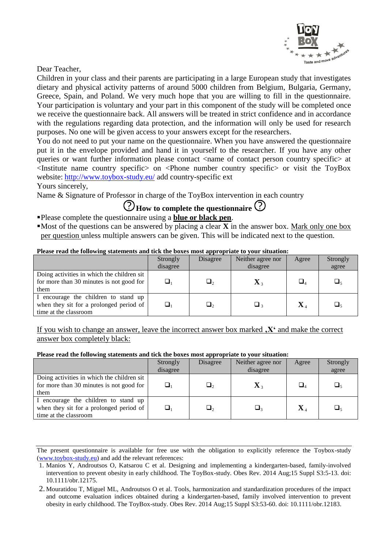

Dear Teacher,

Children in your class and their parents are participating in a large European study that investigates dietary and physical activity patterns of around 5000 children from Belgium, Bulgaria, Germany, Greece, Spain, and Poland. We very much hope that you are willing to fill in the questionnaire. Your participation is voluntary and your part in this component of the study will be completed once we receive the questionnaire back. All answers will be treated in strict confidence and in accordance with the regulations regarding data protection, and the information will only be used for research purposes. No one will be given access to your answers except for the researchers.

You do not need to put your name on the questionnaire. When you have answered the questionnaire put it in the envelope provided and hand it in yourself to the researcher. If you have any other queries or want further information please contact <name of contact person country specific at  $\leq$ Institute name country specific on  $\leq$ Phone number country specific or visit the ToyBox website: <http://www.toybox-study.eu/> add country-specific ext

Yours sincerely,

Name & Signature of Professor in charge of the ToyBox intervention in each country

# **(?)** How to complete the questionnaire (?)

- Please complete the questionnaire using a **blue or black pen**.
- Most of the questions can be answered by placing a clear  $\overline{X}$  in the answer box. Mark only one box per question unless multiple answers can be given. This will be indicated next to the question.

### **Please read the following statements and tick the boxes most appropriate to your situation:**

|                                                                                                          | Strongly<br>disagree | Disagree | Neither agree nor<br>disagree | Agree                                | Strongly<br>agree  |
|----------------------------------------------------------------------------------------------------------|----------------------|----------|-------------------------------|--------------------------------------|--------------------|
| Doing activities in which the children sit<br>for more than 30 minutes is not good for<br>them           |                      | Ц.       | $\mathbf{X}$ $_{3}$           |                                      | $\Box_{\varsigma}$ |
| I encourage the children to stand up<br>when they sit for a prolonged period of<br>time at the classroom |                      | $\Box$   | ⊔ ∢                           | $\mathbf{X}_{\scriptscriptstyle{4}}$ | $\Box_{\varsigma}$ |

If you wish to change an answer, leave the incorrect answer box marked **'X'** and make the correct answer box completely black:

#### **Please read the following statements and tick the boxes most appropriate to your situation:**

|                                                                                                          | Strongly<br>disagree | Disagree | Neither agree nor<br>disagree | Agree          | Strongly<br>agree |
|----------------------------------------------------------------------------------------------------------|----------------------|----------|-------------------------------|----------------|-------------------|
| Doing activities in which the children sit<br>for more than 30 minutes is not good for<br>them           |                      | О,       | $\mathbf{X}$ $_{3}$           | $\Box_4$       | ❏.                |
| I encourage the children to stand up<br>when they sit for a prolonged period of<br>time at the classroom |                      | $\Box_2$ | $\Box$                        | $\mathbf{X}_4$ | $\Box_{5}$        |

The present questionnaire is available for free use with the obligation to explicitly reference the Toybox-study (www.toybox-study.eu) and add the relevant references:

<sup>1.</sup> Manios Y, Androutsos O, Katsarou C et al. Designing and implementing a kindergarten-based, family-involved intervention to prevent obesity in early childhood. The ToyBox-study. Obes Rev. 2014 Aug;15 Suppl S3:5-13. doi: 10.1111/obr.12175.

<sup>2.</sup> Mouratidou T, Miguel ML, Androutsos O et al. Tools, harmonization and standardization procedures of the impact and outcome evaluation indices obtained during a kindergarten-based, family involved intervention to prevent obesity in early childhood. The ToyBox-study. Obes Rev. 2014 Aug;15 Suppl S3:53-60. doi: 10.1111/obr.12183.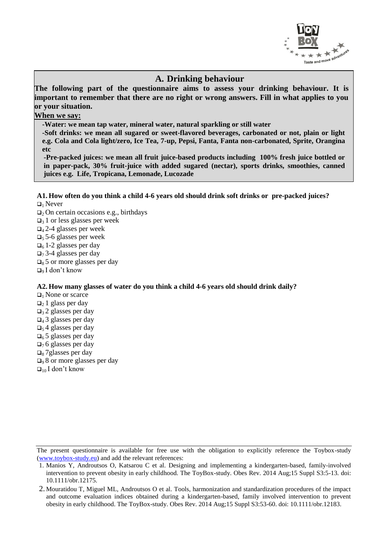

### **A. Drinking behaviour**

**The following part of the questionnaire aims to assess your drinking behaviour. It is important to remember that there are no right or wrong answers. Fill in what applies to you or your situation.**

### **When we say:**

**-Water: we mean tap water, mineral water, natural sparkling or still water**

**-Soft drinks: we mean all sugared or sweet-flavored beverages, carbonated or not, plain or light e.g. Cola and Cola light/zero, Ice Tea, 7-up, Pepsi, Fanta, Fanta non-carbonated, Sprite, Orangina etc**

**-Pre-packed juices: we mean all fruit juice-based products including 100% fresh juice bottled or in paper-pack, 30% fruit-juice with added sugared (nectar), sports drinks, smoothies, canned juices e.g. Life, Tropicana, Lemonade, Lucozade**

#### **A1. How often do you think a child 4-6 years old should drink soft drinks or pre-packed juices?**  $\Box$ <sub>1</sub> Never

- $\Box$ <sub>2</sub> On certain occasions e.g., birthdays
- $\Box$ <sub>3</sub> 1 or less glasses per week
- $\Box$ 4 2-4 glasses per week
- $\Box$ <sub>5</sub> 5-6 glasses per week
- $\Box$ <sup>6</sup> 1-2 glasses per day
- $\Box$ 7 3-4 glasses per day
- $\Box$ <sub>8</sub> 5 or more glasses per day
- $\Box$ <sub>9</sub> I don't know

#### **A2. How many glasses of water do you think a child 4-6 years old should drink daily?**

 $\Box$ <sub>1</sub> None or scarce

- $\Box_2$  1 glass per day
- $\Box$ 3 2 glasses per day
- $\Box$ <sub>4</sub> 3 glasses per day
- $\Box$ <sub>5</sub> 4 glasses per day
- $\Box$ 6 5 glasses per day
- $\Box$ 76 glasses per day
- $\Box$ <sub>8</sub> 7 glasses per day
- $\Box$ 9 8 or more glasses per day
- $\Box_{10}$  I don't know

<sup>1.</sup> Manios Y, Androutsos O, Katsarou C et al. Designing and implementing a kindergarten-based, family-involved intervention to prevent obesity in early childhood. The ToyBox-study. Obes Rev. 2014 Aug;15 Suppl S3:5-13. doi: 10.1111/obr.12175.

<sup>2.</sup> Mouratidou T, Miguel ML, Androutsos O et al. Tools, harmonization and standardization procedures of the impact and outcome evaluation indices obtained during a kindergarten-based, family involved intervention to prevent obesity in early childhood. The ToyBox-study. Obes Rev. 2014 Aug;15 Suppl S3:53-60. doi: 10.1111/obr.12183.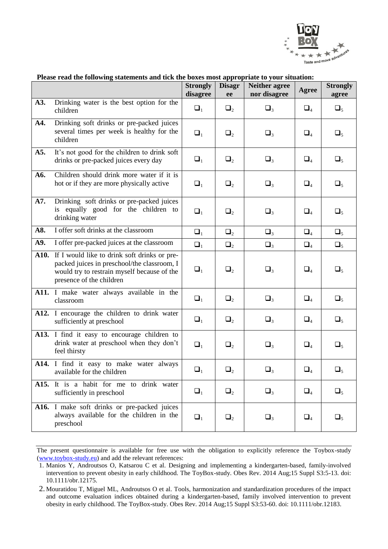

|      | r icase read the following statements and tien the boxes most appropriate to your situation.                                                                           | <b>Strongly</b><br>disagree | <b>Disagr</b><br>ee | <b>Neither agree</b><br>nor disagree | Agree                          | <b>Strongly</b><br>agree |
|------|------------------------------------------------------------------------------------------------------------------------------------------------------------------------|-----------------------------|---------------------|--------------------------------------|--------------------------------|--------------------------|
| A3.  | Drinking water is the best option for the<br>children                                                                                                                  | $\Box_1$                    | $\Box_2$            | $\Box_3$                             | $\Box_4$                       | $\Box_5$                 |
| A4.  | Drinking soft drinks or pre-packed juices<br>several times per week is healthy for the<br>children                                                                     | $\Box_1$                    | $\Box_2$            | $\Box_3$                             | $\Box_4$                       | $\Box_5$                 |
| A5.  | It's not good for the children to drink soft<br>drinks or pre-packed juices every day                                                                                  | $\Box_1$                    | $\Box_2$            | $\Box_3$                             | $\Box_4$                       | $\Box_5$                 |
| A6.  | Children should drink more water if it is<br>hot or if they are more physically active                                                                                 | $\Box_1$                    | $\Box_2$            | $\Box_3$                             | $\Box_4$                       | $\Box_5$                 |
| A7.  | Drinking soft drinks or pre-packed juices<br>is equally good for the children to<br>drinking water                                                                     | $\Box_1$                    | $\Box_2$            | $\Box_3$                             | $\Box_4$                       | $\Box_5$                 |
| A8.  | I offer soft drinks at the classroom                                                                                                                                   | $\Box_1$                    | $\Box_2$            | $\Box_3$                             | $\Box_4$                       | $\Box_5$                 |
| A9.  | I offer pre-packed juices at the classroom                                                                                                                             | $\Box_1$                    | $\Box_2$            | $\Box_3$                             | $\Box_4$                       | $\Box_5$                 |
| A10. | If I would like to drink soft drinks or pre-<br>packed juices in preschool/the classroom, I<br>would try to restrain myself because of the<br>presence of the children | $\Box_1$                    | $\Box_2$            | $\Box_3$                             | $\Box_4$                       | $\Box_5$                 |
|      | A11. I make water always available in the<br>classroom                                                                                                                 | $\Box_1$                    | $\Box_2$            | $\Box_3$                             | $\Box_4$                       | $\Box_5$                 |
|      | A12. I encourage the children to drink water<br>sufficiently at preschool                                                                                              | $\Box_1$                    | $\Box_2$            | $\Box_3$                             | $\Box_4$                       | $\Box_5$                 |
|      | A13. I find it easy to encourage children to<br>drink water at preschool when they don't<br>feel thirsty                                                               | $\Box_1$                    | $\Box_2$            | $\Box_3$                             | $\Box_4$                       | $\Box_5$                 |
|      | A14. I find it easy to make water always<br>available for the children                                                                                                 | $\Box_1$                    | $\Box_2$            | $\Box_3$                             | $\Box_{\scriptscriptstyle{A}}$ | $\square_{\varsigma}$    |
| A15. | It is a habit for me to drink water<br>sufficiently in preschool                                                                                                       | $\Box_1$                    | $\Box_2$            | $\Box_3$                             | $\Box_4$                       | $\Box_5$                 |
|      | A16. I make soft drinks or pre-packed juices<br>always available for the children in the<br>preschool                                                                  | $\Box_1$                    | $\Box_2$            | $\Box_3$                             | $\Box_4$                       | $\Box_5$                 |

#### **Please read the following statements and tick the boxes most appropriate to your situation:**

<sup>1.</sup> Manios Y, Androutsos O, Katsarou C et al. Designing and implementing a kindergarten-based, family-involved intervention to prevent obesity in early childhood. The ToyBox-study. Obes Rev. 2014 Aug;15 Suppl S3:5-13. doi: 10.1111/obr.12175.

<sup>2.</sup> Mouratidou T, Miguel ML, Androutsos O et al. Tools, harmonization and standardization procedures of the impact and outcome evaluation indices obtained during a kindergarten-based, family involved intervention to prevent obesity in early childhood. The ToyBox-study. Obes Rev. 2014 Aug;15 Suppl S3:53-60. doi: 10.1111/obr.12183.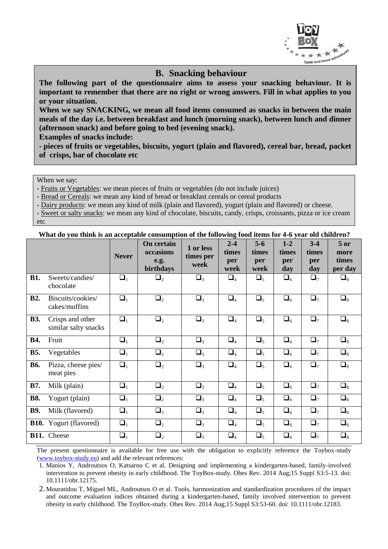

### **B. Snacking behaviour**

**The following part of the questionnaire aims to assess your snacking behaviour. It is important to remember that there are no right or wrong answers. Fill in what applies to you or your situation.**

**When we say SNACKING, we mean all food items consumed as snacks in between the main meals of the day i.e. between breakfast and lunch (morning snack), between lunch and dinner (afternoon snack) and before going to bed (evening snack).**

**Examples of snacks include:**

**- pieces of fruits or vegetables, biscuits, yogurt (plain and flavored), cereal bar, bread, packet of crisps, bar of chocolate etc**

When we say:

- Fruits or Vegetables: we mean pieces of fruits or vegetables (do not include juices)

- Bread or Cereals: we mean any kind of bread or breakfast cereals or cereal products

- Dairy products: we mean any kind of milk (plain and flavored), yogurt (plain and flavored) or cheese.

- Sweet or salty snacks: we mean any kind of chocolate, biscuits, candy, crisps, croissants, pizza or ice cream etc

### **What do you think is an acceptable consumption of the following food items for 4-6 year old children?**

|            |                                          | <b>Never</b> | On certain<br>occasions<br>e.g.<br>birthdays | 1 or less<br>times per<br>week | $2 - 4$<br>times<br>per<br>week | $5-6$<br>times<br>per<br>week | $1 - 2$<br>times<br>per<br>day | $3 - 4$<br>times<br>per<br>day | $5$ or<br>more<br>times<br>per day |
|------------|------------------------------------------|--------------|----------------------------------------------|--------------------------------|---------------------------------|-------------------------------|--------------------------------|--------------------------------|------------------------------------|
| <b>B1.</b> | Sweets/candies/<br>chocolate             | $\Box_1$     | $\Box_2$                                     | $\Box_3$                       | $\Box_4$                        | $\Box_5$                      | $\Box_6$                       | $\Box_7$                       | $\square_8$                        |
| <b>B2.</b> | Biscuits/cookies/<br>cakes/muffins       | $\Box_1$     | $\Box_2$                                     | $\Box_3$                       | $\Box_4$                        | $\Box_5$                      | $\Box_6$                       | $\Box$ <sub>7</sub>            | $\Box_8$                           |
| <b>B3.</b> | Crisps and other<br>similar salty snacks | $\Box_1$     | $\Box_2$                                     | $\Box_3$                       | $\Box_4$                        | $\Box_5$                      | $\Box_6$                       | $\Box_7$                       | $\Box_8$                           |
| <b>B4.</b> | Fruit                                    | $\Box_1$     | $\Box_2$                                     | $\Box_3$                       | $\Box_4$                        | $\Box_5$                      | $\Box_6$                       | $\Box_7$                       | $\Box_8$                           |
| <b>B5.</b> | Vegetables                               | $\Box_1$     | $\Box_2$                                     | $\Box_3$                       | $\Box_4$                        | $\Box_5$                      | $\Box_6$                       | $\Box_7$                       | $\Box_8$                           |
| <b>B6.</b> | Pizza, cheese pies/<br>meat pies         | $\Box_1$     | $\Box_2$                                     | $\Box_3$                       | $\Box_4$                        | $\Box_5$                      | $\Box_6$                       | $\Box_7$                       | $\Box_8$                           |
| <b>B7.</b> | Milk (plain)                             | $\Box_1$     | $\Box_2$                                     | $\Box_3$                       | $\Box_4$                        | $\Box_5$                      | $\Box_6$                       | $\Box$ <sub>7</sub>            | $\Box_8$                           |
| <b>B8.</b> | Yogurt (plain)                           | $\Box_1$     | $\Box_2$                                     | $\Box_3$                       | $\Box_4$                        | $\Box_5$                      | $\Box_6$                       | $\Box$ <sub>7</sub>            | $\Box_8$                           |
| <b>B9.</b> | Milk (flavored)                          | $\Box_1$     | $\Box_2$                                     | $\Box_3$                       | $\Box_4$                        | $\Box_5$                      | $\Box_6$                       | $\Box$ <sub>7</sub>            | $\Box_8$                           |
|            | <b>B10.</b> Yogurt (flavored)            | $\Box_1$     | $\Box_2$                                     | $\Box_3$                       | $\Box_4$                        | $\Box_5$                      | $\Box_6$                       | $\Box$ <sub>7</sub>            | $\Box_8$                           |
|            | B11. Cheese                              | $\Box_1$     | $\Box_2$                                     | $\Box_3$                       | $\Box_4$                        | $\Box_5$                      | $\Box_6$                       | $\Box_7$                       | $\Box_8$                           |

The present questionnaire is available for free use with the obligation to explicitly reference the Toybox-study (www.toybox-study.eu) and add the relevant references:

1. Manios Y, Androutsos O, Katsarou C et al. Designing and implementing a kindergarten-based, family-involved intervention to prevent obesity in early childhood. The ToyBox-study. Obes Rev. 2014 Aug;15 Suppl S3:5-13. doi: 10.1111/obr.12175.

2. Mouratidou T, Miguel ML, Androutsos O et al. Tools, harmonization and standardization procedures of the impact and outcome evaluation indices obtained during a kindergarten-based, family involved intervention to prevent obesity in early childhood. The ToyBox-study. Obes Rev. 2014 Aug;15 Suppl S3:53-60. doi: 10.1111/obr.12183.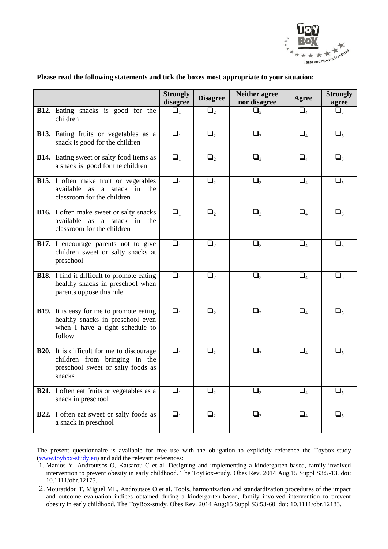

|                                                                                                                                  | <b>Strongly</b><br>disagree | <b>Disagree</b> | <b>Neither agree</b><br>nor disagree | Agree    | <b>Strongly</b><br>agree |
|----------------------------------------------------------------------------------------------------------------------------------|-----------------------------|-----------------|--------------------------------------|----------|--------------------------|
| B12. Eating snacks is good for the<br>children                                                                                   | $\Box_1$                    | $\Box_2$        | $\Box_3$                             | $\Box_4$ | $\Box_5$                 |
| B13. Eating fruits or vegetables as a<br>snack is good for the children                                                          | $\Box_1$                    | $\Box_2$        | $\Box_3$                             | $\Box_4$ | $\Box_5$                 |
| <b>B14.</b> Eating sweet or salty food items as<br>a snack is good for the children                                              | $\Box_1$                    | $\Box_2$        | $\Box_3$                             | $\Box_4$ | $\Box_5$                 |
| B15. I often make fruit or vegetables<br>available as a snack in the<br>classroom for the children                               | $\Box_1$                    | $\Box_2$        | $\Box_3$                             | $\Box_4$ | $\Box_5$                 |
| <b>B16.</b> I often make sweet or salty snacks<br>available<br>as a snack in<br>the<br>classroom for the children                | $\Box_1$                    | $\Box_2$        | $\Box_3$                             | $\Box_4$ | $\Box_5$                 |
| B17. I encourage parents not to give<br>children sweet or salty snacks at<br>preschool                                           | $\Box_1$                    | $\Box_2$        | $\Box_3$                             | $\Box_4$ | $\Box_5$                 |
| <b>B18.</b> I find it difficult to promote eating<br>healthy snacks in preschool when<br>parents oppose this rule                | $\Box_1$                    | $\Box_2$        | $\Box_3$                             | $\Box_4$ | $\Box_5$                 |
| <b>B19.</b> It is easy for me to promote eating<br>healthy snacks in preschool even<br>when I have a tight schedule to<br>follow | $\Box_1$                    | $\Box_2$        | $\Box_3$                             | $\Box_4$ | $\Box_5$                 |
| <b>B20.</b> It is difficult for me to discourage<br>children from bringing in the<br>preschool sweet or salty foods as<br>snacks | $\Box_1$                    | $\Box_2$        | $\Box_3$                             | $\Box_4$ | $\Box_5$                 |
| <b>B21.</b> I often eat fruits or vegetables as a<br>snack in preschool                                                          | $\Box_1$                    | $\Box_2$        | $\Box_3$                             | $\Box_4$ | $\Box_5$                 |
| <b>B22.</b> I often eat sweet or salty foods as<br>a snack in preschool                                                          | $\Box_1$                    | $\Box_2$        | $\Box_3$                             | $\Box_4$ | $\Box_5$                 |

### **Please read the following statements and tick the boxes most appropriate to your situation:**

The present questionnaire is available for free use with the obligation to explicitly reference the Toybox-study (www.toybox-study.eu) and add the relevant references:

<sup>1.</sup> Manios Y, Androutsos O, Katsarou C et al. Designing and implementing a kindergarten-based, family-involved intervention to prevent obesity in early childhood. The ToyBox-study. Obes Rev. 2014 Aug;15 Suppl S3:5-13. doi: 10.1111/obr.12175.

<sup>2.</sup> Mouratidou T, Miguel ML, Androutsos O et al. Tools, harmonization and standardization procedures of the impact and outcome evaluation indices obtained during a kindergarten-based, family involved intervention to prevent obesity in early childhood. The ToyBox-study. Obes Rev. 2014 Aug;15 Suppl S3:53-60. doi: 10.1111/obr.12183.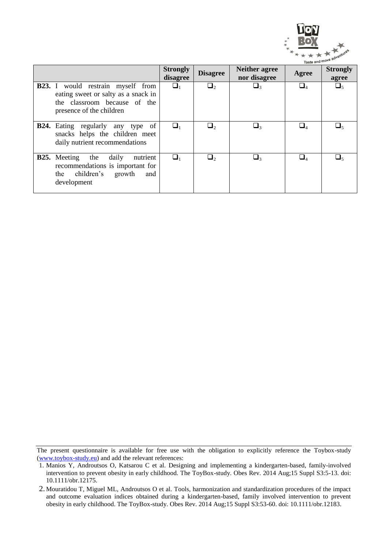

|                                                                                                                                             |                             |                 |                                         | laste and                              |                          |
|---------------------------------------------------------------------------------------------------------------------------------------------|-----------------------------|-----------------|-----------------------------------------|----------------------------------------|--------------------------|
|                                                                                                                                             | <b>Strongly</b><br>disagree | <b>Disagree</b> | <b>Neither agree</b><br>nor disagree    | Agree                                  | <b>Strongly</b><br>agree |
| <b>B23.</b> I would restrain myself from<br>eating sweet or salty as a snack in<br>the classroom because of the<br>presence of the children | $\sqcup_1$                  | $\Box_2$        | $\sqcup_{\scriptscriptstyle\mathsf{R}}$ | $\Box_4$                               | $\Box_5$                 |
| <b>B24.</b> Eating regularly any type<br>-of<br>snacks helps the children meet<br>daily nutrient recommendations                            |                             | $\Box$          | $\sqcup$                                | $\Box_{\scriptscriptstyle{A}}$         | ، ك                      |
| <b>B25.</b> Meeting the<br>nutrient<br>daily<br>recommendations is important for<br>the children's<br>growth<br>and<br>development          | ⊔,                          | $\Box$          | $\Box_{\scriptscriptstyle{2}}$          | $\Box_{\scriptscriptstyle{\varDelta}}$ | $\sqcup_{\leq}$          |

The present questionnaire is available for free use with the obligation to explicitly reference the Toybox-study (www.toybox-study.eu) and add the relevant references:

<sup>1.</sup> Manios Y, Androutsos O, Katsarou C et al. Designing and implementing a kindergarten-based, family-involved intervention to prevent obesity in early childhood. The ToyBox-study. Obes Rev. 2014 Aug;15 Suppl S3:5-13. doi: 10.1111/obr.12175.

<sup>2.</sup> Mouratidou T, Miguel ML, Androutsos O et al. Tools, harmonization and standardization procedures of the impact and outcome evaluation indices obtained during a kindergarten-based, family involved intervention to prevent obesity in early childhood. The ToyBox-study. Obes Rev. 2014 Aug;15 Suppl S3:53-60. doi: 10.1111/obr.12183.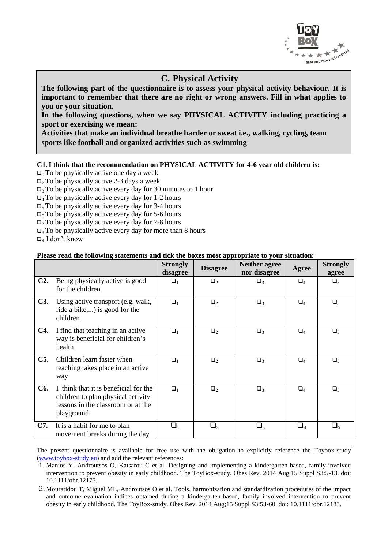

## **C. Physical Activity**

**The following part of the questionnaire is to assess your physical activity behaviour. It is important to remember that there are no right or wrong answers. Fill in what applies to you or your situation.**

**In the following questions, when we say PHYSICAL ACTIVITY including practicing a sport or exercising we mean:** 

**Activities that make an individual breathe harder or sweat i.e., walking, cycling, team sports like football and organized activities such as swimming**

### **C1.I think that the recommendation on PHYSICAL ACTIVITY for 4-6 year old children is:**

- $\Box$ <sub>1</sub> To be physically active one day a week
- $\Box$ <sub>2</sub> To be physically active 2-3 days a week
- $\Box$ <sub>3</sub> To be physically active every day for 30 minutes to 1 hour
- $\Box$ <sub>4</sub> To be physically active every day for 1-2 hours
- $\Box$ <sub>5</sub> To be physically active every day for 3-4 hours
- $\Box$ <sub>6</sub> To be physically active every day for 5-6 hours
- $\Box$ 7 To be physically active every day for 7-8 hours
- $\Box_8$  To be physically active every day for more than 8 hours
- $\Box$ <sub>9</sub> I don't know

### **Please read the following statements and tick the boxes most appropriate to your situation:**

|            |                                                                                                                                 | <b>Strongly</b><br>disagree | <b>Disagree</b>     | <b>Neither agree</b><br>nor disagree | Agree                             | <b>Strongly</b><br>agree |
|------------|---------------------------------------------------------------------------------------------------------------------------------|-----------------------------|---------------------|--------------------------------------|-----------------------------------|--------------------------|
| $C2$ .     | Being physically active is good<br>for the children                                                                             | $\Box_1$                    | $\Box_2$            | $\Box_3$                             | $\Box_4$                          | $\Box_5$                 |
| <b>C3.</b> | Using active transport (e.g. walk,<br>ride a bike,) is good for the<br>children                                                 | $\Box_1$                    | $\Box_2$            | $\Box$ 3                             | $\Box_4$                          | $\Box_5$                 |
| <b>C4.</b> | I find that teaching in an active<br>way is beneficial for children's<br>health                                                 | $\Box_1$                    | $\Box_2$            | $\Box_3$                             | $\Box_4$                          | $\Box_5$                 |
| $C5$ .     | Children learn faster when<br>teaching takes place in an active<br>way                                                          | $\Box_1$                    | $\Box_2$            | $\Box_3$                             | $\Box_4$                          | $\Box_5$                 |
| C6.        | I think that it is beneficial for the<br>children to plan physical activity<br>lessons in the classroom or at the<br>playground | $\Box_1$                    | $\Box_2$            | $\Box_3$                             | $\Box_4$                          | $\Box_5$                 |
| C7.        | It is a habit for me to plan<br>movement breaks during the day                                                                  | $\Box_1$                    | $\Box$ <sub>2</sub> | $\Box_3$                             | $\square_{\scriptscriptstyle{A}}$ | $\Box_5$                 |

The present questionnaire is available for free use with the obligation to explicitly reference the Toybox-study (www.toybox-study.eu) and add the relevant references:

1. Manios Y, Androutsos O, Katsarou C et al. Designing and implementing a kindergarten-based, family-involved intervention to prevent obesity in early childhood. The ToyBox-study. Obes Rev. 2014 Aug;15 Suppl S3:5-13. doi: 10.1111/obr.12175.

<sup>2.</sup> Mouratidou T, Miguel ML, Androutsos O et al. Tools, harmonization and standardization procedures of the impact and outcome evaluation indices obtained during a kindergarten-based, family involved intervention to prevent obesity in early childhood. The ToyBox-study. Obes Rev. 2014 Aug;15 Suppl S3:53-60. doi: 10.1111/obr.12183.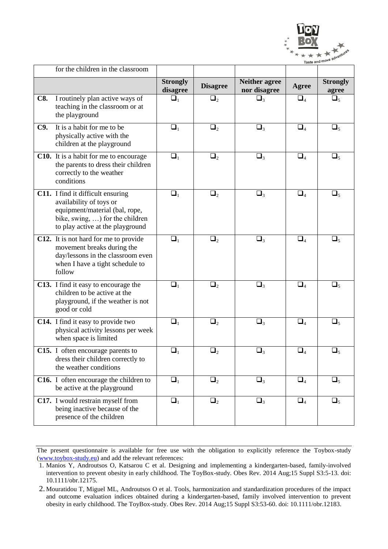

|            | for the children in the classroom                                                                                                                                     |                             |                 |                                      |              |                          |
|------------|-----------------------------------------------------------------------------------------------------------------------------------------------------------------------|-----------------------------|-----------------|--------------------------------------|--------------|--------------------------|
|            |                                                                                                                                                                       | <b>Strongly</b><br>disagree | <b>Disagree</b> | <b>Neither agree</b><br>nor disagree | <b>Agree</b> | <b>Strongly</b><br>agree |
| <b>C8.</b> | I routinely plan active ways of<br>teaching in the classroom or at<br>the playground                                                                                  | $\Box_1$                    | $\Box_2$        | $\Box_3$                             | $\Box_4$     | $\Box_5$                 |
| C9.        | It is a habit for me to be<br>physically active with the<br>children at the playground                                                                                | $\Box_1$                    | $\Box_2$        | $\Box_3$                             | $\Box_4$     | $\Box_5$                 |
|            | <b>C10.</b> It is a habit for me to encourage<br>the parents to dress their children<br>correctly to the weather<br>conditions                                        | $\Box_1$                    | $\Box_2$        | $\Box_3$                             | $\Box_4$     | $\Box_5$                 |
|            | C11. I find it difficult ensuring<br>availability of toys or<br>equipment/material (bal, rope,<br>bike, swing, ) for the children<br>to play active at the playground | $\Box_1$                    | $\Box_2$        | $\Box_3$                             | $\Box_4$     | $\Box_5$                 |
|            | C12. It is not hard for me to provide<br>movement breaks during the<br>day/lessons in the classroom even<br>when I have a tight schedule to<br>follow                 | $\Box_1$                    | $\Box_2$        | $\Box_3$                             | $\Box_4$     | $\Box_5$                 |
|            | C13. I find it easy to encourage the<br>children to be active at the<br>playground, if the weather is not<br>good or cold                                             | $\Box_1$                    | $\Box_2$        | $\Box_3$                             | $\Box_4$     | $\Box_5$                 |
|            | C14. I find it easy to provide two<br>physical activity lessons per week<br>when space is limited                                                                     | $\Box_1$                    | $\Box_2$        | $\Box_3$                             | $\Box_4$     | $\Box_5$                 |
|            | C15. I often encourage parents to<br>dress their children correctly to<br>the weather conditions                                                                      | $\Box_1$                    | $\Box_2$        | $\Box_3$                             | $\Box_4$     | $\Box_5$                 |
|            | C16. I often encourage the children to<br>be active at the playground                                                                                                 | $\Box_1$                    | $\Box_2$        | $\Box_3$                             | $\Box_4$     | $\Box_5$                 |
|            | C17. I would restrain myself from<br>being inactive because of the<br>presence of the children                                                                        | $\Box_1$                    | $\Box_2$        | $\Box_3$                             | $\Box_4$     | $\Box_5$                 |

The present questionnaire is available for free use with the obligation to explicitly reference the Toybox-study (www.toybox-study.eu) and add the relevant references:

<sup>1.</sup> Manios Y, Androutsos O, Katsarou C et al. Designing and implementing a kindergarten-based, family-involved intervention to prevent obesity in early childhood. The ToyBox-study. Obes Rev. 2014 Aug;15 Suppl S3:5-13. doi: 10.1111/obr.12175.

<sup>2.</sup> Mouratidou T, Miguel ML, Androutsos O et al. Tools, harmonization and standardization procedures of the impact and outcome evaluation indices obtained during a kindergarten-based, family involved intervention to prevent obesity in early childhood. The ToyBox-study. Obes Rev. 2014 Aug;15 Suppl S3:53-60. doi: 10.1111/obr.12183.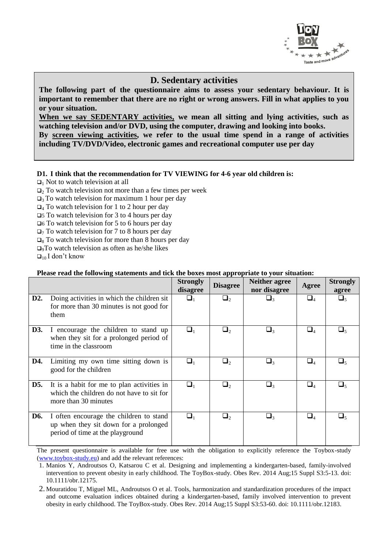

### **D. Sedentary activities**

**The following part of the questionnaire aims to assess your sedentary behaviour. It is important to remember that there are no right or wrong answers. Fill in what applies to you or your situation.**

**When we say SEDENTARY activities, we mean all sitting and lying activities, such as watching television and/or DVD, using the computer, drawing and looking into books. By screen viewing activities, we refer to the usual time spend in a range of activities including TV/DVD/Video, electronic games and recreational computer use per day**

### **D1. I think that the recommendation for TV VIEWING for 4-6 year old children is:**

 $\Box$ <sub>1</sub> Not to watch television at all

 $\Box$  To watch television not more than a few times per week

 $\Box$ <sub>3</sub> To watch television for maximum 1 hour per day

 $\Box$ <sub>4</sub> To watch television for 1 to 2 hour per day

5 To watch television for 3 to 4 hours per day

6 To watch television for 5 to 6 hours per day

 $\Box$ <sub>7</sub> To watch television for 7 to 8 hours per day

 $\Box$ <sup>8</sup> To watch television for more than 8 hours per day

 $\Box$ <sub>9</sub>To watch television as often as he/she likes

 $\Box_{10}$  I don't know

### **Please read the following statements and tick the boxes most appropriate to your situation:**

|                  |                                                                                                                      | <b>Strongly</b><br>disagree | <b>Disagree</b> | <b>Neither agree</b><br>nor disagree | Agree       | <b>Strongly</b><br>agree |
|------------------|----------------------------------------------------------------------------------------------------------------------|-----------------------------|-----------------|--------------------------------------|-------------|--------------------------|
| D <sub>2</sub> . | Doing activities in which the children sit<br>for more than 30 minutes is not good for<br>them                       | $\Box_1$                    | $\Box$          | $\Box_3$                             | $\square_4$ | $\Box_5$                 |
| D3.              | I encourage the children to stand up<br>when they sit for a prolonged period of<br>time in the classroom             | $\Box_1$                    | $\Box_2$        | $\Box_3$                             | $\square_4$ | $\sqcup_{5}$             |
| D4.              | Limiting my own time sitting down is<br>good for the children                                                        | $\Box_1$                    | $\Box_2$        | $\Box_3$                             | $\square_4$ | $\Box_5$                 |
| D5.              | It is a habit for me to plan activities in<br>which the children do not have to sit for<br>more than 30 minutes      | $\Box_1$                    | $\Box$          | $\Box_3$                             | $\Box_4$    | $\Box_{5}$               |
| D6.              | I often encourage the children to stand<br>up when they sit down for a prolonged<br>period of time at the playground | $\Box_1$                    | $\Box$          | $\Box_3$                             | $\Box_4$    | u,                       |

<sup>1.</sup> Manios Y, Androutsos O, Katsarou C et al. Designing and implementing a kindergarten-based, family-involved intervention to prevent obesity in early childhood. The ToyBox-study. Obes Rev. 2014 Aug;15 Suppl S3:5-13. doi: 10.1111/obr.12175.

<sup>2.</sup> Mouratidou T, Miguel ML, Androutsos O et al. Tools, harmonization and standardization procedures of the impact and outcome evaluation indices obtained during a kindergarten-based, family involved intervention to prevent obesity in early childhood. The ToyBox-study. Obes Rev. 2014 Aug;15 Suppl S3:53-60. doi: 10.1111/obr.12183.